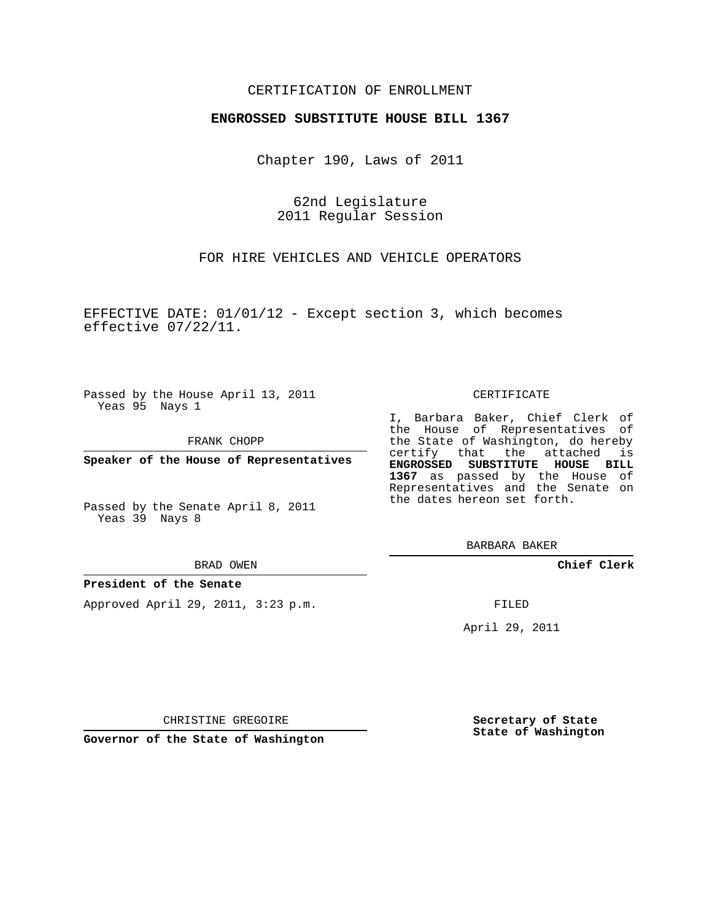## CERTIFICATION OF ENROLLMENT

## **ENGROSSED SUBSTITUTE HOUSE BILL 1367**

Chapter 190, Laws of 2011

62nd Legislature 2011 Regular Session

FOR HIRE VEHICLES AND VEHICLE OPERATORS

EFFECTIVE DATE: 01/01/12 - Except section 3, which becomes effective 07/22/11.

Passed by the House April 13, 2011 Yeas 95 Nays 1

FRANK CHOPP

**Speaker of the House of Representatives**

Passed by the Senate April 8, 2011 Yeas 39 Nays 8

#### BRAD OWEN

### **President of the Senate**

Approved April 29, 2011, 3:23 p.m.

#### CERTIFICATE

I, Barbara Baker, Chief Clerk of the House of Representatives of the State of Washington, do hereby certify that the attached is **ENGROSSED SUBSTITUTE HOUSE BILL 1367** as passed by the House of Representatives and the Senate on the dates hereon set forth.

BARBARA BAKER

**Chief Clerk**

FILED

April 29, 2011

CHRISTINE GREGOIRE

**Governor of the State of Washington**

**Secretary of State State of Washington**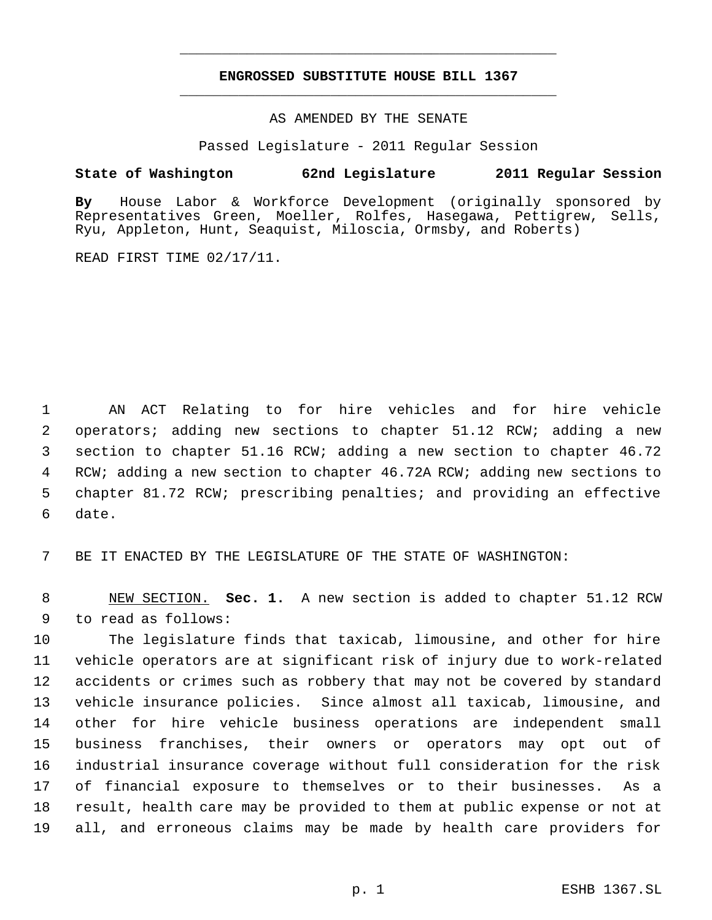# **ENGROSSED SUBSTITUTE HOUSE BILL 1367** \_\_\_\_\_\_\_\_\_\_\_\_\_\_\_\_\_\_\_\_\_\_\_\_\_\_\_\_\_\_\_\_\_\_\_\_\_\_\_\_\_\_\_\_\_

\_\_\_\_\_\_\_\_\_\_\_\_\_\_\_\_\_\_\_\_\_\_\_\_\_\_\_\_\_\_\_\_\_\_\_\_\_\_\_\_\_\_\_\_\_

AS AMENDED BY THE SENATE

Passed Legislature - 2011 Regular Session

# **State of Washington 62nd Legislature 2011 Regular Session**

**By** House Labor & Workforce Development (originally sponsored by Representatives Green, Moeller, Rolfes, Hasegawa, Pettigrew, Sells, Ryu, Appleton, Hunt, Seaquist, Miloscia, Ormsby, and Roberts)

READ FIRST TIME 02/17/11.

 AN ACT Relating to for hire vehicles and for hire vehicle operators; adding new sections to chapter 51.12 RCW; adding a new section to chapter 51.16 RCW; adding a new section to chapter 46.72 RCW; adding a new section to chapter 46.72A RCW; adding new sections to chapter 81.72 RCW; prescribing penalties; and providing an effective date.

BE IT ENACTED BY THE LEGISLATURE OF THE STATE OF WASHINGTON:

 NEW SECTION. **Sec. 1.** A new section is added to chapter 51.12 RCW to read as follows:

 The legislature finds that taxicab, limousine, and other for hire vehicle operators are at significant risk of injury due to work-related accidents or crimes such as robbery that may not be covered by standard vehicle insurance policies. Since almost all taxicab, limousine, and other for hire vehicle business operations are independent small business franchises, their owners or operators may opt out of industrial insurance coverage without full consideration for the risk of financial exposure to themselves or to their businesses. As a result, health care may be provided to them at public expense or not at all, and erroneous claims may be made by health care providers for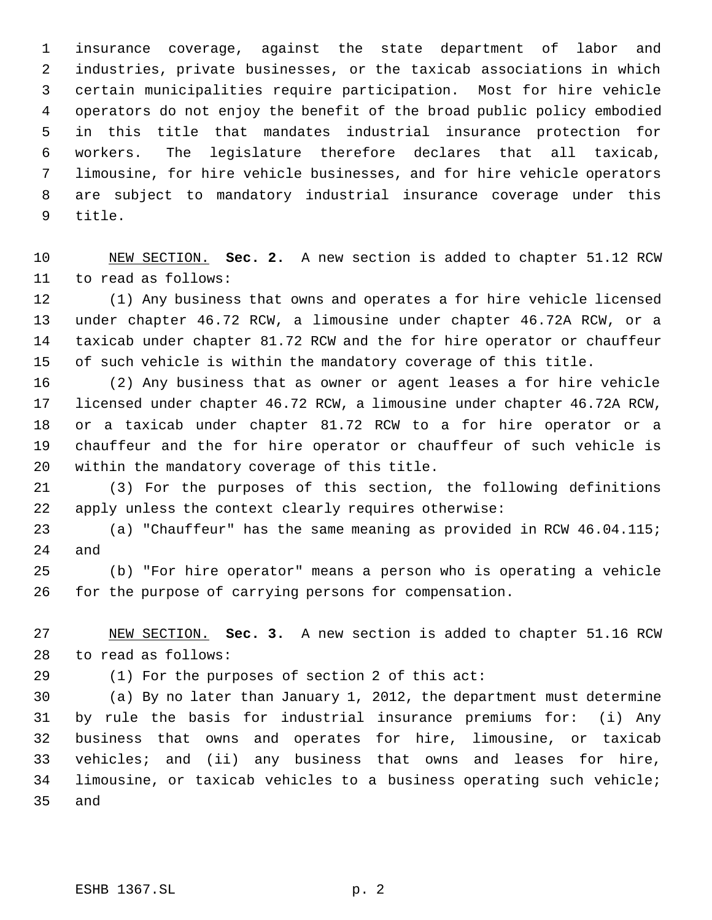insurance coverage, against the state department of labor and industries, private businesses, or the taxicab associations in which certain municipalities require participation. Most for hire vehicle operators do not enjoy the benefit of the broad public policy embodied in this title that mandates industrial insurance protection for workers. The legislature therefore declares that all taxicab, limousine, for hire vehicle businesses, and for hire vehicle operators are subject to mandatory industrial insurance coverage under this title.

 NEW SECTION. **Sec. 2.** A new section is added to chapter 51.12 RCW to read as follows:

 (1) Any business that owns and operates a for hire vehicle licensed under chapter 46.72 RCW, a limousine under chapter 46.72A RCW, or a taxicab under chapter 81.72 RCW and the for hire operator or chauffeur of such vehicle is within the mandatory coverage of this title.

 (2) Any business that as owner or agent leases a for hire vehicle licensed under chapter 46.72 RCW, a limousine under chapter 46.72A RCW, or a taxicab under chapter 81.72 RCW to a for hire operator or a chauffeur and the for hire operator or chauffeur of such vehicle is within the mandatory coverage of this title.

 (3) For the purposes of this section, the following definitions apply unless the context clearly requires otherwise:

 (a) "Chauffeur" has the same meaning as provided in RCW 46.04.115; and

 (b) "For hire operator" means a person who is operating a vehicle for the purpose of carrying persons for compensation.

 NEW SECTION. **Sec. 3.** A new section is added to chapter 51.16 RCW to read as follows:

(1) For the purposes of section 2 of this act:

 (a) By no later than January 1, 2012, the department must determine by rule the basis for industrial insurance premiums for: (i) Any business that owns and operates for hire, limousine, or taxicab vehicles; and (ii) any business that owns and leases for hire, limousine, or taxicab vehicles to a business operating such vehicle; and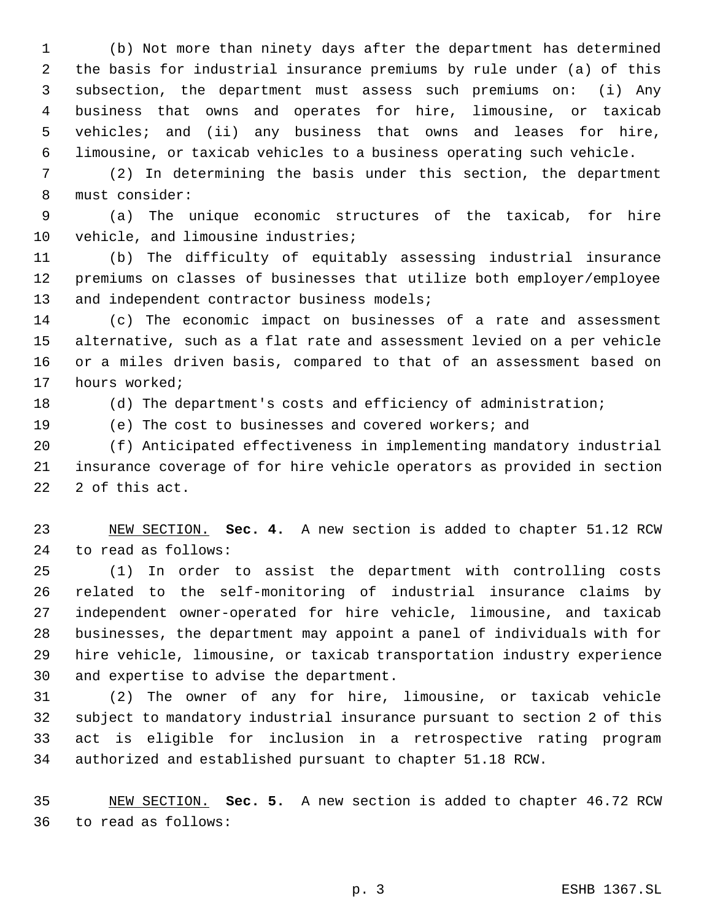(b) Not more than ninety days after the department has determined the basis for industrial insurance premiums by rule under (a) of this subsection, the department must assess such premiums on: (i) Any business that owns and operates for hire, limousine, or taxicab vehicles; and (ii) any business that owns and leases for hire, limousine, or taxicab vehicles to a business operating such vehicle.

 (2) In determining the basis under this section, the department must consider:

 (a) The unique economic structures of the taxicab, for hire 10 vehicle, and limousine industries;

 (b) The difficulty of equitably assessing industrial insurance premiums on classes of businesses that utilize both employer/employee 13 and independent contractor business models;

 (c) The economic impact on businesses of a rate and assessment alternative, such as a flat rate and assessment levied on a per vehicle or a miles driven basis, compared to that of an assessment based on hours worked;

(d) The department's costs and efficiency of administration;

(e) The cost to businesses and covered workers; and

 (f) Anticipated effectiveness in implementing mandatory industrial insurance coverage of for hire vehicle operators as provided in section 2 of this act.

 NEW SECTION. **Sec. 4.** A new section is added to chapter 51.12 RCW to read as follows:

 (1) In order to assist the department with controlling costs related to the self-monitoring of industrial insurance claims by independent owner-operated for hire vehicle, limousine, and taxicab businesses, the department may appoint a panel of individuals with for hire vehicle, limousine, or taxicab transportation industry experience and expertise to advise the department.

 (2) The owner of any for hire, limousine, or taxicab vehicle subject to mandatory industrial insurance pursuant to section 2 of this act is eligible for inclusion in a retrospective rating program authorized and established pursuant to chapter 51.18 RCW.

 NEW SECTION. **Sec. 5.** A new section is added to chapter 46.72 RCW to read as follows: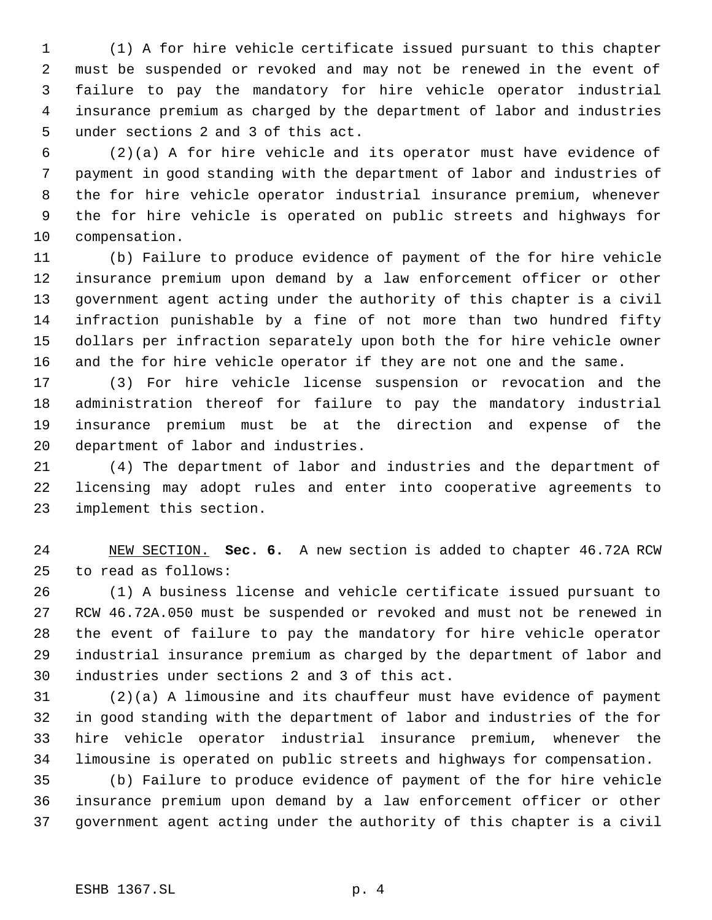(1) A for hire vehicle certificate issued pursuant to this chapter must be suspended or revoked and may not be renewed in the event of failure to pay the mandatory for hire vehicle operator industrial insurance premium as charged by the department of labor and industries under sections 2 and 3 of this act.

 (2)(a) A for hire vehicle and its operator must have evidence of payment in good standing with the department of labor and industries of the for hire vehicle operator industrial insurance premium, whenever the for hire vehicle is operated on public streets and highways for compensation.

 (b) Failure to produce evidence of payment of the for hire vehicle insurance premium upon demand by a law enforcement officer or other government agent acting under the authority of this chapter is a civil infraction punishable by a fine of not more than two hundred fifty dollars per infraction separately upon both the for hire vehicle owner and the for hire vehicle operator if they are not one and the same.

 (3) For hire vehicle license suspension or revocation and the administration thereof for failure to pay the mandatory industrial insurance premium must be at the direction and expense of the department of labor and industries.

 (4) The department of labor and industries and the department of licensing may adopt rules and enter into cooperative agreements to implement this section.

 NEW SECTION. **Sec. 6.** A new section is added to chapter 46.72A RCW to read as follows:

 (1) A business license and vehicle certificate issued pursuant to RCW 46.72A.050 must be suspended or revoked and must not be renewed in the event of failure to pay the mandatory for hire vehicle operator industrial insurance premium as charged by the department of labor and industries under sections 2 and 3 of this act.

 (2)(a) A limousine and its chauffeur must have evidence of payment in good standing with the department of labor and industries of the for hire vehicle operator industrial insurance premium, whenever the limousine is operated on public streets and highways for compensation.

 (b) Failure to produce evidence of payment of the for hire vehicle insurance premium upon demand by a law enforcement officer or other government agent acting under the authority of this chapter is a civil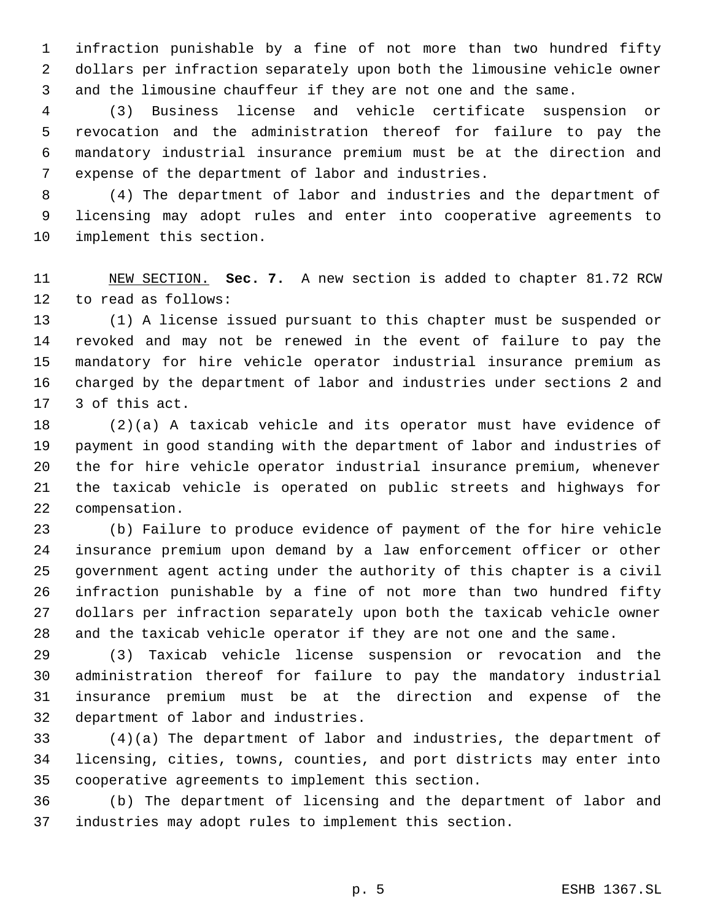infraction punishable by a fine of not more than two hundred fifty dollars per infraction separately upon both the limousine vehicle owner and the limousine chauffeur if they are not one and the same.

 (3) Business license and vehicle certificate suspension or revocation and the administration thereof for failure to pay the mandatory industrial insurance premium must be at the direction and expense of the department of labor and industries.

 (4) The department of labor and industries and the department of licensing may adopt rules and enter into cooperative agreements to implement this section.

 NEW SECTION. **Sec. 7.** A new section is added to chapter 81.72 RCW to read as follows:

 (1) A license issued pursuant to this chapter must be suspended or revoked and may not be renewed in the event of failure to pay the mandatory for hire vehicle operator industrial insurance premium as charged by the department of labor and industries under sections 2 and 3 of this act.

 (2)(a) A taxicab vehicle and its operator must have evidence of payment in good standing with the department of labor and industries of the for hire vehicle operator industrial insurance premium, whenever the taxicab vehicle is operated on public streets and highways for compensation.

 (b) Failure to produce evidence of payment of the for hire vehicle insurance premium upon demand by a law enforcement officer or other government agent acting under the authority of this chapter is a civil infraction punishable by a fine of not more than two hundred fifty dollars per infraction separately upon both the taxicab vehicle owner and the taxicab vehicle operator if they are not one and the same.

 (3) Taxicab vehicle license suspension or revocation and the administration thereof for failure to pay the mandatory industrial insurance premium must be at the direction and expense of the department of labor and industries.

 (4)(a) The department of labor and industries, the department of licensing, cities, towns, counties, and port districts may enter into cooperative agreements to implement this section.

 (b) The department of licensing and the department of labor and industries may adopt rules to implement this section.